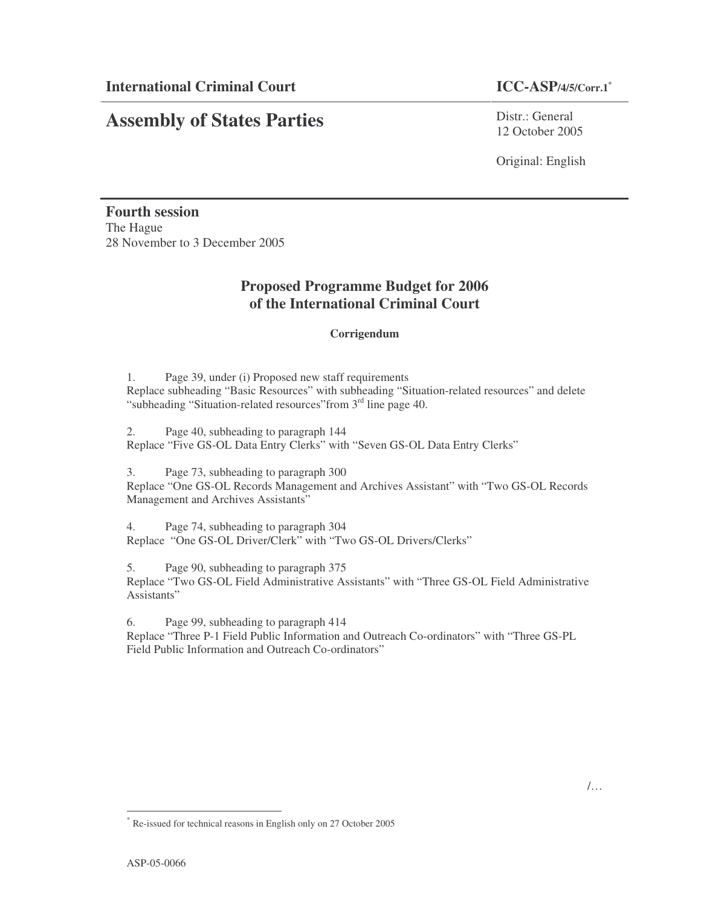### **ICC-ASP/4/5/Corr.1\***

# **Assembly of States Parties**

Distr · General 12 October 2005

Original: English

**Fourth session** The Hague 28 November to 3 December 2005

## **Proposed Programme Budget for 2006 of the International Criminal Court**

#### **Corrigendum**

1. Page 39, under (i) Proposed new staff requirements Replace subheading "Basic Resources" with subheading "Situation-related resources" and delete "subheading "Situation-related resources" from 3<sup>rd</sup> line page 40.

2. Page 40, subheading to paragraph 144 Replace "Five GS-OL Data Entry Clerks" with "Seven GS-OL Data Entry Clerks"

3. Page 73, subheading to paragraph 300 Replace "One GS-OL Records Management and Archives Assistant" with "Two GS-OL Records

Management and Archives Assistants"

4. Page 74, subheading to paragraph 304 Replace "One GS-OL Driver/Clerk" with "Two GS-OL Drivers/Clerks"

5. Page 90, subheading to paragraph 375

Replace "Two GS-OL Field Administrative Assistants" with "Three GS-OL Field Administrative Assistants"

6. Page 99, subheading to paragraph 414

Replace "Three P-1 Field Public Information and Outreach Co-ordinators" with "Three GS-PL Field Public Information and Outreach Co-ordinators"

<sup>\*</sup> Re-issued for technical reasons in English only on 27 October 2005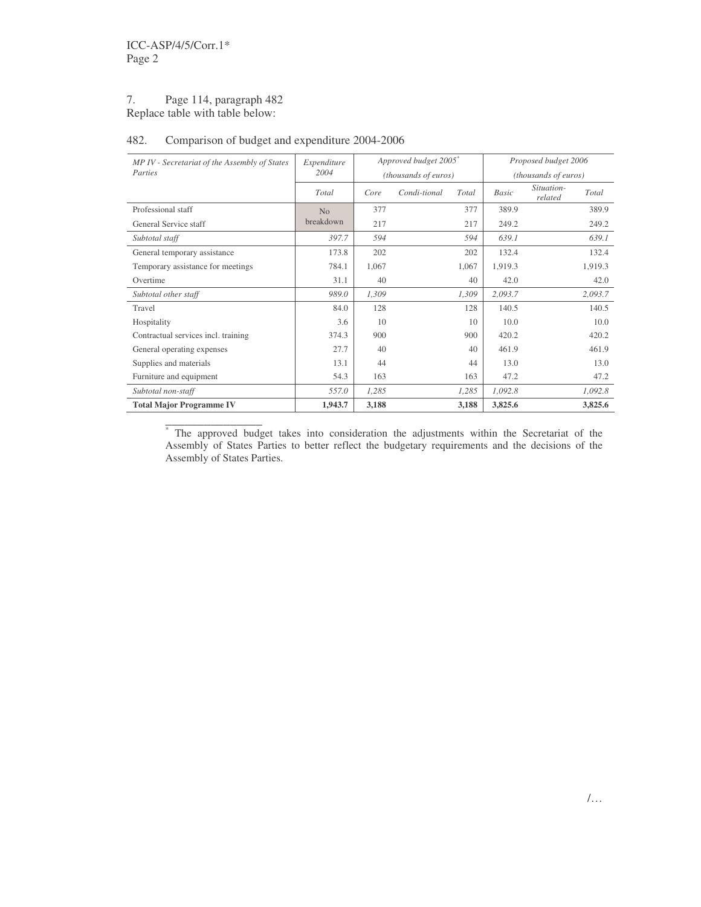#### 7. Page 114, paragraph 482 Replace table with table below:

#### 482. Comparison of budget and expenditure 2004-2006

| MP IV - Secretariat of the Assembly of States | Expenditure |       | Approved budget 2005* |       | Proposed budget 2006 |                       |         |  |
|-----------------------------------------------|-------------|-------|-----------------------|-------|----------------------|-----------------------|---------|--|
| Parties                                       | 2004        |       | (thousands of euros)  |       | (thousands of euros) |                       |         |  |
|                                               | Total       | Core  | Condi-tional          | Total | Basic                | Situation-<br>related | Total   |  |
| Professional staff                            | No          | 377   |                       | 377   | 389.9                |                       | 389.9   |  |
| General Service staff                         | breakdown   | 217   |                       | 217   | 249.2                |                       | 249.2   |  |
| Subtotal staff                                | 397.7       | 594   |                       | 594   | 639.1                |                       | 639.1   |  |
| General temporary assistance                  | 173.8       | 202   |                       | 202   | 132.4                |                       | 132.4   |  |
| Temporary assistance for meetings             | 784.1       | 1,067 |                       | 1,067 | 1,919.3              |                       | 1,919.3 |  |
| Overtime                                      | 31.1        | 40    |                       | 40    | 42.0                 |                       | 42.0    |  |
| Subtotal other staff                          | 989.0       | 1,309 |                       | 1,309 | 2,093.7              |                       | 2,093.7 |  |
| Travel                                        | 84.0        | 128   |                       | 128   | 140.5                |                       | 140.5   |  |
| Hospitality                                   | 3.6         | 10    |                       | 10    | 10.0                 |                       | 10.0    |  |
| Contractual services incl. training           | 374.3       | 900   |                       | 900   | 420.2                |                       | 420.2   |  |
| General operating expenses                    | 27.7        | 40    |                       | 40    | 461.9                |                       | 461.9   |  |
| Supplies and materials                        | 13.1        | 44    |                       | 44    | 13.0                 |                       | 13.0    |  |
| Furniture and equipment                       | 54.3        | 163   |                       | 163   | 47.2                 |                       | 47.2    |  |
| Subtotal non-staff                            | 557.0       | 1,285 |                       | 1,285 | 1,092.8              |                       | 1,092.8 |  |
| <b>Total Major Programme IV</b>               | 1,943.7     | 3,188 |                       | 3,188 | 3,825.6              |                       | 3,825.6 |  |

 $\overline{\phantom{a}}$  , where  $\overline{\phantom{a}}$ \* The approved budget takes into consideration the adjustments within the Secretariat of the Assembly of States Parties to better reflect the budgetary requirements and the decisions of the Assembly of States Parties.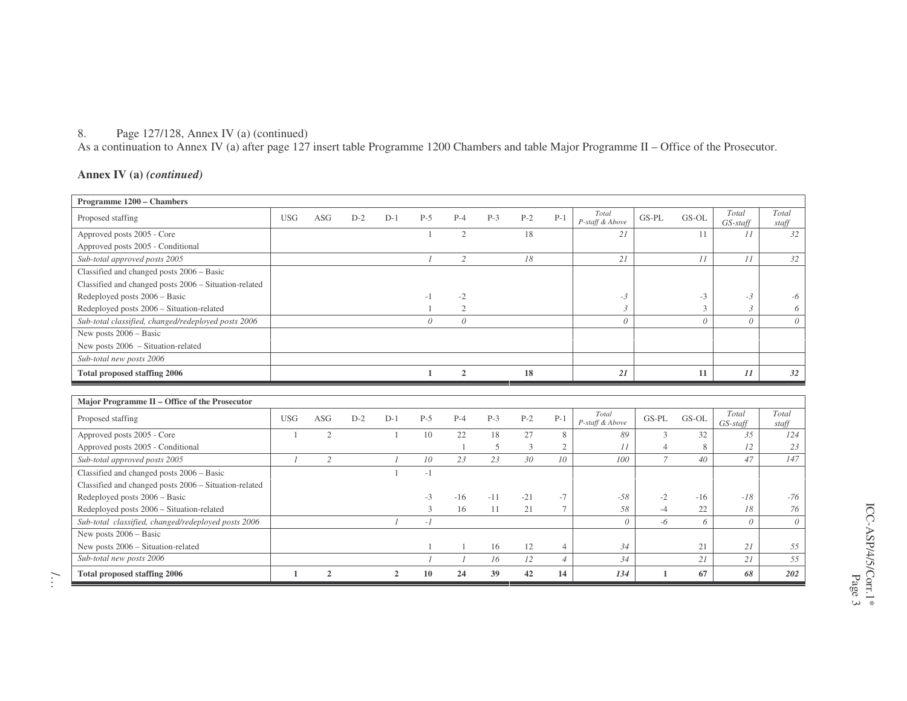#### 8. Page 127/128, Annex IV (a) (continued)

As a continuation to Annex IV (a) after page 127 insert table Programme 1200 Chambers and table Major Programme II – Office of the Prosecutor.

#### **Annex IV (a)** *(continued)*

| Programme 1200 - Chambers                             |                |                |       |                |               |                |       |       |                 |                          |                |              |                   |                |
|-------------------------------------------------------|----------------|----------------|-------|----------------|---------------|----------------|-------|-------|-----------------|--------------------------|----------------|--------------|-------------------|----------------|
| Proposed staffing                                     | <b>USG</b>     | ASG            | $D-2$ | $D-1$          | $P-5$         | $P-4$          | $P-3$ | $P-2$ | $P-1$           | Total<br>P-staff & Above | GS-PL          | GS-OL        | Total<br>GS-staff | Total<br>staff |
| Approved posts 2005 - Core                            |                |                |       |                | 1             | 2              |       | 18    |                 | 21                       |                | 11           | 11                | 32             |
| Approved posts 2005 - Conditional                     |                |                |       |                |               |                |       |       |                 |                          |                |              |                   |                |
| Sub-total approved posts 2005                         |                |                |       |                | $\mathcal{I}$ | $\overline{2}$ |       | 18    |                 | 21                       |                | 11           | 11                | 32             |
| Classified and changed posts 2006 - Basic             |                |                |       |                |               |                |       |       |                 |                          |                |              |                   |                |
| Classified and changed posts 2006 - Situation-related |                |                |       |                |               |                |       |       |                 |                          |                |              |                   |                |
| Redeployed posts 2006 - Basic                         |                |                |       |                | $-1$          | $-2$           |       |       |                 | $-3$                     |                | $-3$         | $-3$              | -6             |
| Redeployed posts 2006 - Situation-related             |                |                |       |                | -1            | $\mathfrak{2}$ |       |       |                 | $\mathfrak{Z}$           |                | 3            | 3                 | 6              |
| Sub-total classified, changed/redeployed posts 2006   |                |                |       |                | $\theta$      | $\mathcal{O}$  |       |       |                 | $\theta$                 |                | $\theta$     | $\theta$          | $\theta$       |
| New posts $2006 - Basic$                              |                |                |       |                |               |                |       |       |                 |                          |                |              |                   |                |
| New posts 2006 - Situation-related                    |                |                |       |                |               |                |       |       |                 |                          |                |              |                   |                |
| Sub-total new posts 2006                              |                |                |       |                |               |                |       |       |                 |                          |                |              |                   |                |
| <b>Total proposed staffing 2006</b>                   |                |                |       |                | $\mathbf{1}$  | $\overline{2}$ |       | 18    |                 | 21                       |                | 11           | 11                | 32             |
|                                                       |                |                |       |                |               |                |       |       |                 |                          |                |              |                   |                |
|                                                       |                |                |       |                |               |                |       |       |                 |                          |                |              |                   |                |
| Major Programme II - Office of the Prosecutor         |                |                |       |                |               |                |       |       |                 |                          |                |              |                   |                |
| Proposed staffing                                     | <b>USG</b>     | <b>ASG</b>     | $D-2$ | $D-1$          | $P-5$         | $P-4$          | $P-3$ | $P-2$ | $P-1$           | Total<br>P-staff & Above | GS-PL          | GS-OL        | Total<br>GS-staff | Total<br>staff |
| Approved posts 2005 - Core                            |                | 2              |       | $\overline{1}$ | 10            | 22             | 18    | 27    | 8               | 89                       | 3              | 32           | 35                | 124            |
| Approved posts 2005 - Conditional                     |                |                |       |                |               |                | 5     | 3     | 2               | 11                       | $\overline{4}$ | 8            | 12                | 23             |
| Sub-total approved posts 2005                         | $\overline{I}$ | $\mathfrak{2}$ |       | $\mathcal{I}$  | 10            | 23             | 23    | 30    | 10 <sup>2</sup> | 100                      | $\overline{7}$ | $40^{\circ}$ | 47                | 147            |
| Classified and changed posts 2006 - Basic             |                |                |       | $\overline{1}$ | $-1$          |                |       |       |                 |                          |                |              |                   |                |
| Classified and changed posts 2006 - Situation-related |                |                |       |                |               |                |       |       |                 |                          |                |              |                   |                |
| Redeployed posts 2006 - Basic                         |                |                |       |                | $-3$          | $-16$          | $-11$ | $-21$ | $-7$            | $-58$                    | $-2$           | $-16$        | $-18$             | $-76$          |
| Redeployed posts 2006 - Situation-related             |                |                |       |                | 3             | 16             | 11    | 21    | $\tau$          | 58                       | $-4$           | 22           | 18                | 76             |
| Sub-total classified, changed/redeployed posts 2006   |                |                |       | $\mathcal{I}$  | $-I$          |                |       |       |                 | $\theta$                 | $-6$           | 6            | $\theta$          | $\theta$       |
| New posts $2006 - Basic$                              |                |                |       |                |               |                |       |       |                 |                          |                |              |                   |                |
| New posts 2006 - Situation-related                    |                |                |       |                |               |                | 16    | 12    | $\overline{4}$  | 34                       |                | 21           | 21                | 55             |
| Sub-total new posts 2006                              |                |                |       |                |               |                | 16    | 12    | $\overline{4}$  | 34                       |                | 21           | 21                | 55             |